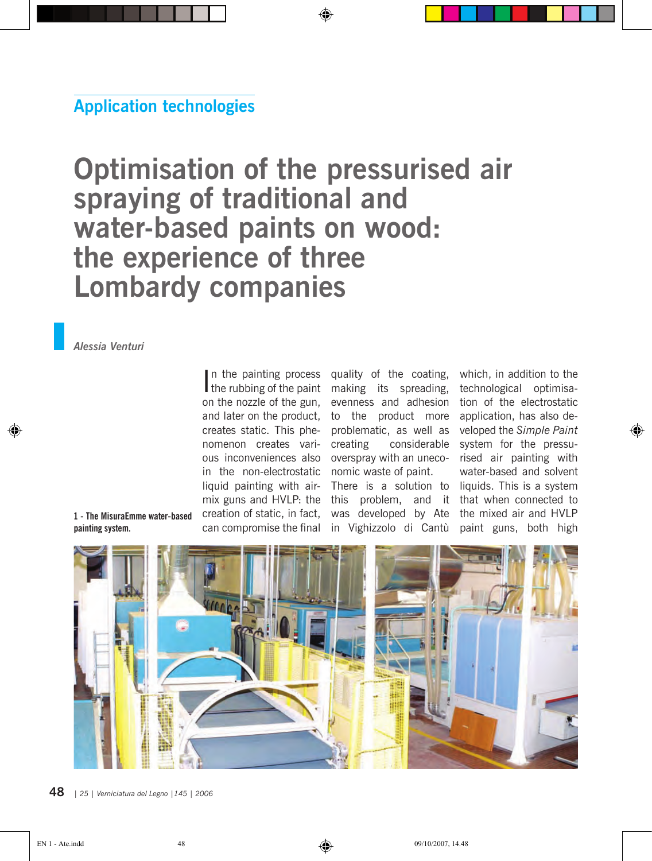## **Application technologies**

# **Optimisation of the pressurised air spraying of traditional and water-based paints on wood: the experience of three Lombardy companies**

#### *Alessia Venturi*

on the nozzle of the gun, and later on the product, creates static. This phenomenon creates various inconveniences also overspray with an unecoin the non-electrostatic nomic waste of paint. liquid painting with airmix guns and HVLP: the creation of static, in fact, can compromise the final

In the painting process quality of the coating,<br>the rubbing of the paint making its spreading, the rubbing of the paint making its spreading, evenness and adhesion to the product more problematic, as well as creating considerable There is a solution to this problem, and it was developed by Ate the mixed air and HVLP in Vighizzolo di Cantù

which, in addition to the technological optimisation of the electrostatic application, has also developed the *Simple Paint* system for the pressurised air painting with water-based and solvent liquids. This is a system that when connected to paint guns, both high

**1 - The MisuraEmme water-based painting system.**



**48** *<sup>|</sup> 25 | Verniciatura del Legno |145 | 2006 25 | Verniciatura del Legno |145 | 2006 |* **49**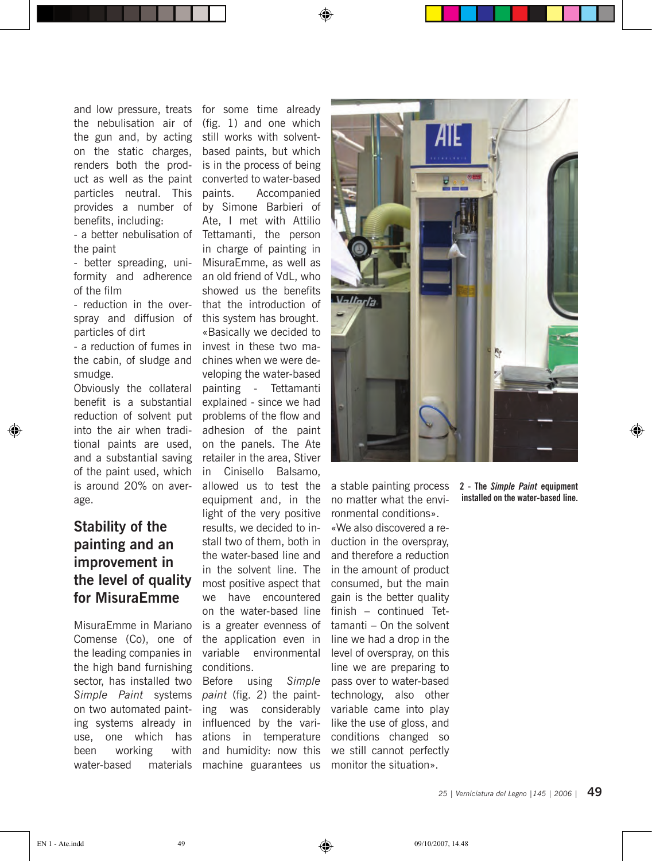the nebulisation air of the gun and, by acting on the static charges, renders both the product as well as the paint particles neutral. This provides a number of benefits, including: - a better nebulisation of

the paint

- better spreading, uniformity and adherence of the film

- reduction in the overspray and diffusion of particles of dirt

- a reduction of fumes in the cabin, of sludge and smudge.

Obviously the collateral benefit is a substantial reduction of solvent put into the air when traditional paints are used, and a substantial saving of the paint used, which is around 20% on average.

### **Stability of the painting and an improvement in the level of quality for MisuraEmme**

MisuraEmme in Mariano Comense (Co), one of the leading companies in the high band furnishing sector, has installed two *Simple Paint* systems on two automated painting systems already in use, one which has been working with water-based materials

and low pressure, treats for some time already (fig. 1) and one which still works with solventbased paints, but which is in the process of being converted to water-based paints. Accompanied by Simone Barbieri of Ate, I met with Attilio Tettamanti, the person in charge of painting in MisuraEmme, as well as an old friend of VdL, who showed us the benefits that the introduction of this system has brought. «Basically we decided to invest in these two machines when we were developing the water-based painting - Tettamanti explained - since we had problems of the flow and adhesion of the paint on the panels. The Ate retailer in the area, Stiver in Cinisello Balsamo,

◈

allowed us to test the equipment and, in the light of the very positive results, we decided to install two of them, both in the water-based line and in the solvent line. The most positive aspect that we have encountered on the water-based line is a greater evenness of the application even in variable environmental conditions.

Before using *Simple paint* (fig. 2) the painting was considerably influenced by the variations in temperature and humidity: now this machine guarantees us



a stable painting process no matter what the environmental conditions». «We also discovered a reduction in the overspray, and therefore a reduction in the amount of product consumed, but the main gain is the better quality finish – continued Tettamanti – On the solvent line we had a drop in the level of overspray, on this line we are preparing to pass over to water-based technology, also other variable came into play like the use of gloss, and conditions changed so we still cannot perfectly monitor the situation».

**2 - The** *Simple Paint* **equipment installed on the water-based line.**

◈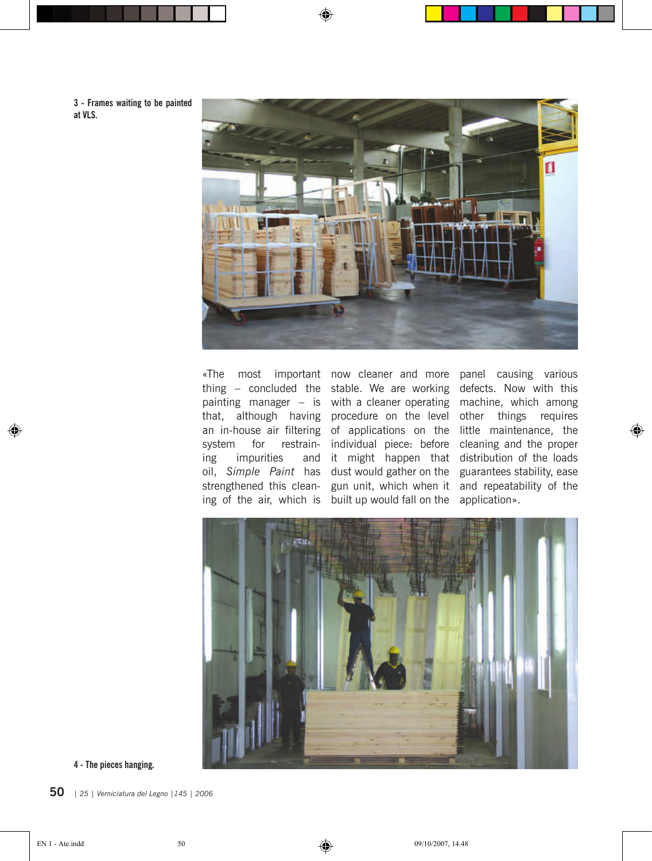**3 - Frames waiting to be painted at VLS.**



◈

system for restraining impurities and oil, *Simple Paint* has strengthened this cleaning of the air, which is

«The most important now cleaner and more panel causing various that, although having procedure on the level individual piece: before dust would gather on the built up would fall on the

thing – concluded the stable. We are working defects. Now with this painting manager – is with a cleaner operating machine, which among an in-house air filtering of applications on the little maintenance, the it might happen that distribution of the loads gun unit, which when it and repeatability of the other things requires cleaning and the proper guarantees stability, ease application».

◈



**4 - The pieces hanging.**

**50** *<sup>|</sup> 25 | Verniciatura del Legno |145 | 2006 25 | Verniciatura del Legno |145 | 2006 |* **51**

◈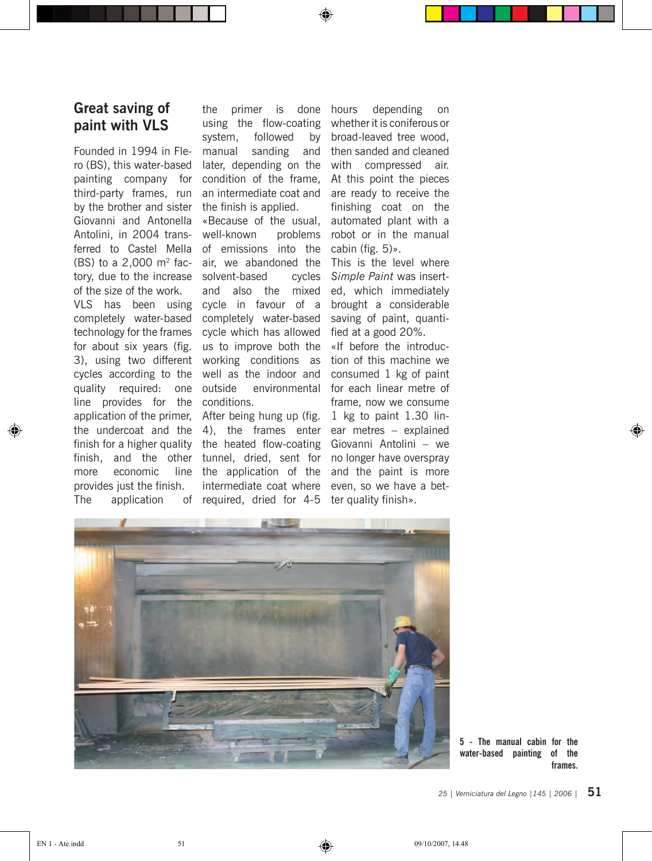#### **Great saving of paint with VLS**

Founded in 1994 in Flero (BS), this water-based painting company for third-party frames, run by the brother and sister Giovanni and Antonella Antolini, in 2004 trans-(BS) to a  $2,000$  m<sup>2</sup> facof the size of the work.

completely water-based technology for the frames for about six years (fig. 3), using two different cycles according to the quality required: one line provides for the conditions. application of the primer, After being hung up (fig. the undercoat and the 4), the frames enter finish for a higher quality the heated flow-coating finish, and the other tunnel, dried, sent for more economic provides just the finish. The application

the primer is done using the flow-coating system, followed by manual sanding and later, depending on the condition of the frame, an intermediate coat and the finish is applied.

♠

ferred to Castel Mella of emissions into the tory, due to the increase solvent-based cycles VLS has been using cycle in favour of a «Because of the usual, well-known problems air, we abandoned the and also the mixed completely water-based cycle which has allowed us to improve both the working conditions as well as the indoor and environmental

> line the application of the intermediate coat where required, dried for 4-5 ter quality finish».

depending on whether it is coniferous or broad-leaved tree wood, then sanded and cleaned with compressed air. At this point the pieces are ready to receive the finishing coat on the automated plant with a robot or in the manual cabin (fig. 5)».

This is the level where *Simple Paint* was inserted, which immediately brought a considerable saving of paint, quantified at a good 20%.

«If before the introduction of this machine we consumed 1 kg of paint for each linear metre of frame, now we consume 1 kg to paint 1.30 linear metres – explained Giovanni Antolini – we no longer have overspray and the paint is more even, so we have a bet-



**5 - The manual cabin for the water-based painting of the frames.** ♠

**50** *<sup>|</sup> 25 | Verniciatura del Legno |145 | 2006 25 | Verniciatura del Legno |145 | 2006 |* **51**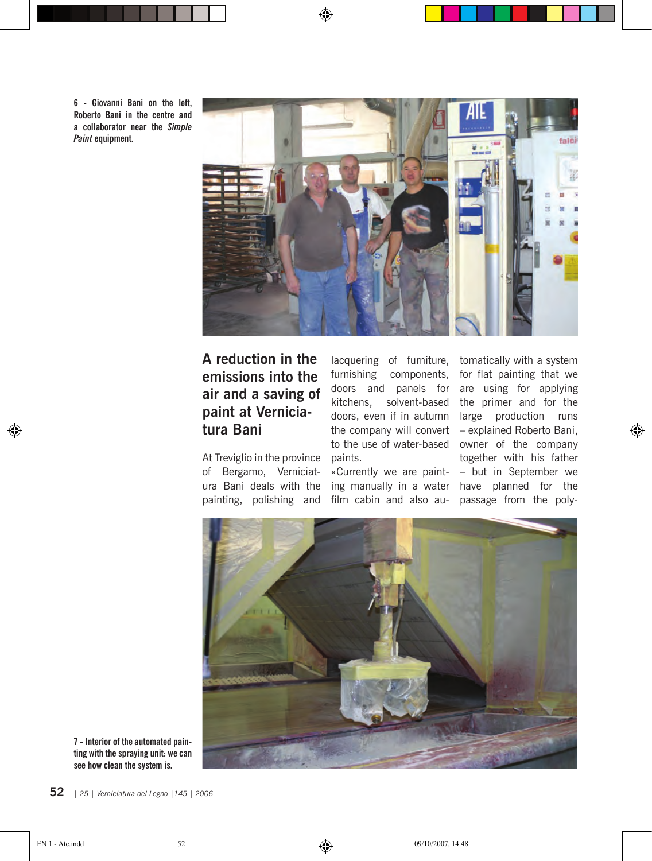**6 - Giovanni Bani on the left, Roberto Bani in the centre and a collaborator near the** *Simple Paint* **equipment.**



♠

## **A reduction in the emissions into the air and a saving of paint at Verniciatura Bani**

At Treviglio in the province of Bergamo, Verniciatura Bani deals with the painting, polishing and

lacquering of furniture, tomatically with a system furnishing components, doors and panels for doors, even if in autumn paints.

«Currently we are paintfilm cabin and also au-

kitchens, solvent-based the primer and for the the company will convert – explained Roberto Bani, to the use of water-based owner of the company ing manually in a water have planned for the for flat painting that we are using for applying large production runs together with his father – but in September we passage from the poly-

◈



**7 - Interior of the automated painting with the spraying unit: we can see how clean the system is.**

**52** *<sup>|</sup> 25 | Verniciatura del Legno |145 | 2006 25 | Verniciatura del Legno |145 | 2006 |* **53**

⊕